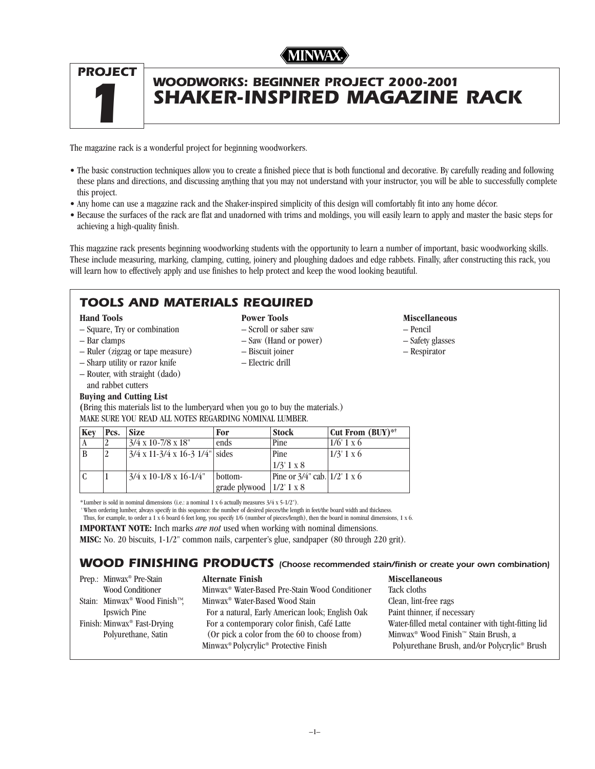# *PROJECT 1*

# *WOODWORKS: BEGINNER PROJECT 2000-2001 SHAKER-INSPIRED MAGAZINE RACK*

The magazine rack is a wonderful project for beginning woodworkers.

- The basic construction techniques allow you to create a finished piece that is both functional and decorative. By carefully reading and following these plans and directions, and discussing anything that you may not understand with your instructor, you will be able to successfully complete this project.
- Any home can use a magazine rack and the Shaker-inspired simplicity of this design will comfortably fit into any home décor.
- Because the surfaces of the rack are flat and unadorned with trims and moldings, you will easily learn to apply and master the basic steps for achieving a high-quality finish.

This magazine rack presents beginning woodworking students with the opportunity to learn a number of important, basic woodworking skills. These include measuring, marking, clamping, cutting, joinery and ploughing dadoes and edge rabbets. Finally, after constructing this rack, you will learn how to effectively apply and use finishes to help protect and keep the wood looking beautiful.

# *TOOLS AND MATERIALS REQUIRED*

- Square, Try or combination Scroll or saber saw Pencil
- 
- Bar clamps Saw (Hand or power) Safety glasses – Ruler (zigzag or tape measure) – Biscuit joiner<br>
– Sharp utility or razor knife – Electric drill
- Sharp utility or razor knife
- Router, with straight (dado)
- and rabbet cutters

#### **Buying and Cutting List**

**(**Bring this materials list to the lumberyard when you go to buy the materials.) MAKE SURE YOU READ ALL NOTES REGARDING NOMINAL LUMBER.

| Key | Pcs. | <b>Size</b>                                           | For                          | <b>Stock</b>                       | Cut From $(BUY)^{**}$ |
|-----|------|-------------------------------------------------------|------------------------------|------------------------------------|-----------------------|
|     |      | $3/4 \times 10$ -7/8 x 18"                            | ends                         | Pine                               | $1/6$ ' 1 x 6         |
|     | 12   | $3/4 \times 11 - 3/4 \times 16 - 3 \frac{1}{4}$ sides |                              | Pine                               | $1/3$ ' 1 x 6         |
|     |      |                                                       |                              | $1/3$ ' 1 x 8                      |                       |
|     |      | $3/4 \times 10 - 1/8 \times 16 - 1/4$ "               | bottom-                      | Pine or $3/4$ " cab. $1/2$ ' 1 x 6 |                       |
|     |      |                                                       | grade plywood $ 1/2$ ' 1 x 8 |                                    |                       |

\*Lumber is sold in nominal dimensions (i.e.: a nominal 1 x 6 actually measures 3/4 x 5-1/2").

†When ordering lumber, always specify in this sequence: the number of desired pieces/the length in feet/the board width and thickness. Thus, for example, to order a 1 x 6 board 6 feet long, you specify 1/6 (number of pieces/length), then the board in nominal dimensions, 1 x 6.

**IMPORTANT NOTE:** Inch marks *are not* used when working with nominal dimensions.

**MISC:** No. 20 biscuits, 1-1/2" common nails, carpenter's glue, sandpaper (80 through 220 grit).

# *WOOD FINISHING PRODUCTS (Choose recommended stain/finish or create your own combination)*

| Prep.: Minwax <sup>®</sup> Pre-Stain                  | <b>Alternate Finish</b>                                       | <b>Miscellaneous</b>                                        |
|-------------------------------------------------------|---------------------------------------------------------------|-------------------------------------------------------------|
| Wood Conditioner                                      | Minwax <sup>®</sup> Water-Based Pre-Stain Wood Conditioner    | Tack cloths                                                 |
| Stain: Minwax <sup>®</sup> Wood Finish <sup>™</sup> , | Minwax <sup>®</sup> Water-Based Wood Stain                    | Clean, lint-free rags                                       |
| Ipswich Pine                                          | For a natural, Early American look; English Oak               | Paint thinner, if necessary                                 |
| Finish: Minwax <sup>®</sup> Fast-Drying               | For a contemporary color finish, Café Latte                   | Water-filled metal container with tight-fitting lid         |
| Polyurethane, Satin                                   | (Or pick a color from the 60 to choose from)                  | Minwax <sup>®</sup> Wood Finish <sup>™</sup> Stain Brush, a |
|                                                       | Minwax <sup>®</sup> Polycrylic <sup>®</sup> Protective Finish | Polyurethane Brush, and/or Polycrylic® Brush                |
|                                                       |                                                               |                                                             |

## **Hand Tools Power Tools Miscellaneous**

- 
- 
-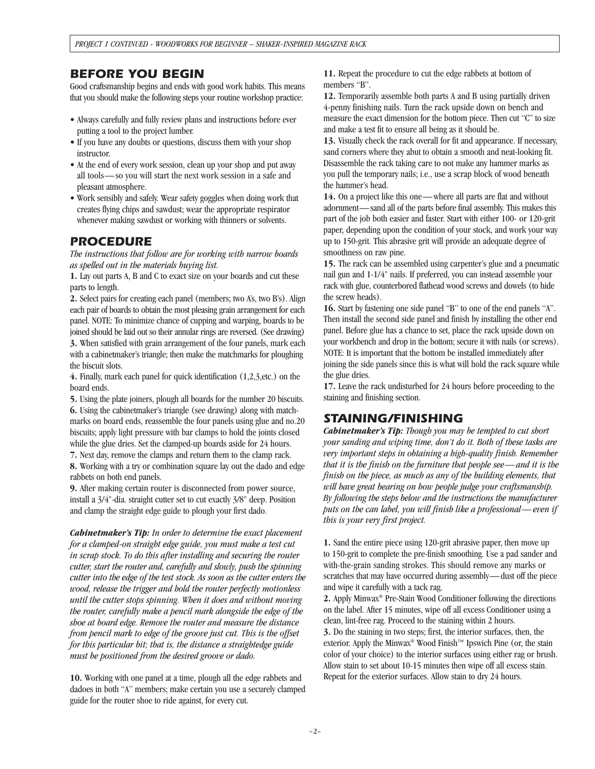## *BEFORE YOU BEGIN*

Good craftsmanship begins and ends with good work habits. This means that you should make the following steps your routine workshop practice:

- Always carefully and fully review plans and instructions before ever putting a tool to the project lumber.
- If you have any doubts or questions, discuss them with your shop instructor.
- At the end of every work session, clean up your shop and put away all tools—so you will start the next work session in a safe and pleasant atmosphere.
- Work sensibly and safely. Wear safety goggles when doing work that creates flying chips and sawdust; wear the appropriate respirator whenever making sawdust or working with thinners or solvents.

### *PROCEDURE*

*The instructions that follow are for working with narrow boards as spelled out in the materials buying list.*

**1.** Lay out parts A, B and C to exact size on your boards and cut these parts to length.

**2.** Select pairs for creating each panel (members; two A's, two B's). Align each pair of boards to obtain the most pleasing grain arrangement for each panel. NOTE: To minimize chance of cupping and warping, boards to be joined should be laid out so their annular rings are reversed. (See drawing)

**3.** When satisfied with grain arrangement of the four panels, mark each with a cabinetmaker's triangle; then make the matchmarks for ploughing the biscuit slots.

**4.** Finally, mark each panel for quick identification (1,2,3,etc.) on the board ends.

**5.** Using the plate joiners, plough all boards for the number 20 biscuits. **6.** Using the cabinetmaker's triangle (see drawing) along with matchmarks on board ends, reassemble the four panels using glue and no.20 biscuits; apply light pressure with bar clamps to hold the joints closed while the glue dries. Set the clamped-up boards aside for 24 hours.

**7.** Next day, remove the clamps and return them to the clamp rack. **8.** Working with a try or combination square lay out the dado and edge

rabbets on both end panels. **9.** After making certain router is disconnected from power source, install a 3/4"-dia. straight cutter set to cut exactly 3/8" deep. Position

and clamp the straight edge guide to plough your first dado.

*Cabinetmaker's Tip: In order to determine the exact placement for a clamped-on straight edge guide, you must make a test cut in scrap stock. To do this after installing and securing the router cutter, start the router and, carefully and slowly, push the spinning cutter into the edge of the test stock. As soon as the cutter enters the wood, release the trigger and hold the router perfectly motionless until the cutter stops spinning. When it does and without moving the router, carefully make a pencil mark alongside the edge of the shoe at board edge. Remove the router and measure the distance from pencil mark to edge of the groove just cut. This is the offset for this particular bit; that is, the distance a straightedge guide must be positioned from the desired groove or dado.*

**10.** Working with one panel at a time, plough all the edge rabbets and dadoes in both "A" members; make certain you use a securely clamped guide for the router shoe to ride against, for every cut.

**11.** Repeat the procedure to cut the edge rabbets at bottom of members "B".

**12.** Temporarily assemble both parts A and B using partially driven 4-penny finishing nails. Turn the rack upside down on bench and measure the exact dimension for the bottom piece. Then cut "C" to size and make a test fit to ensure all being as it should be.

**13.** Visually check the rack overall for fit and appearance. If necessary, sand corners where they abut to obtain a smooth and neat-looking fit. Disassemble the rack taking care to not make any hammer marks as you pull the temporary nails; i.e., use a scrap block of wood beneath the hammer's head.

**14.** On a project like this one— where all parts are flat and without adornment— sand all of the parts before final assembly. This makes this part of the job both easier and faster. Start with either 100- or 120-grit paper, depending upon the condition of your stock, and work your way up to 150-grit. This abrasive grit will provide an adequate degree of smoothness on raw pine.

**15.** The rack can be assembled using carpenter's glue and a pneumatic nail gun and 1-1/4" nails. If preferred, you can instead assemble your rack with glue, counterbored flathead wood screws and dowels (to hide the screw heads).

**16.** Start by fastening one side panel "B" to one of the end panels "A". Then install the second side panel and finish by installing the other end panel. Before glue has a chance to set, place the rack upside down on your workbench and drop in the bottom; secure it with nails (or screws). NOTE: It is important that the bottom be installed immediately after joining the side panels since this is what will hold the rack square while the glue dries.

**17.** Leave the rack undisturbed for 24 hours before proceeding to the staining and finishing section.

# *STAINING/FINISHING*

*Cabinetmaker's Tip: Though you may be tempted to cut short your sanding and wiping time, don't do it. Both of these tasks are very important steps in obtaining a high-quality finish. Remember that it is the finish on the furniture that people see— and it is the finish on the piece, as much as any of the building elements, that will have great bearing on how people judge your craftsmanship. By following the steps below and the instructions the manufacturer puts on the can label, you will finish like a professional— even if this is your very first project.*

**1.** Sand the entire piece using 120-grit abrasive paper, then move up to 150-grit to complete the pre-finish smoothing. Use a pad sander and with-the-grain sanding strokes. This should remove any marks or scratches that may have occurred during assembly— dust off the piece and wipe it carefully with a tack rag.

**2.** Apply Minwax® Pre-Stain Wood Conditioner following the directions on the label. After 15 minutes, wipe off all excess Conditioner using a clean, lint-free rag. Proceed to the staining within 2 hours.

**3.** Do the staining in two steps; first, the interior surfaces, then, the exterior. Apply the Minwax® Wood Finish™ Ipswich Pine (or, the stain color of your choice) to the interior surfaces using either rag or brush. Allow stain to set about 10-15 minutes then wipe off all excess stain. Repeat for the exterior surfaces. Allow stain to dry 24 hours.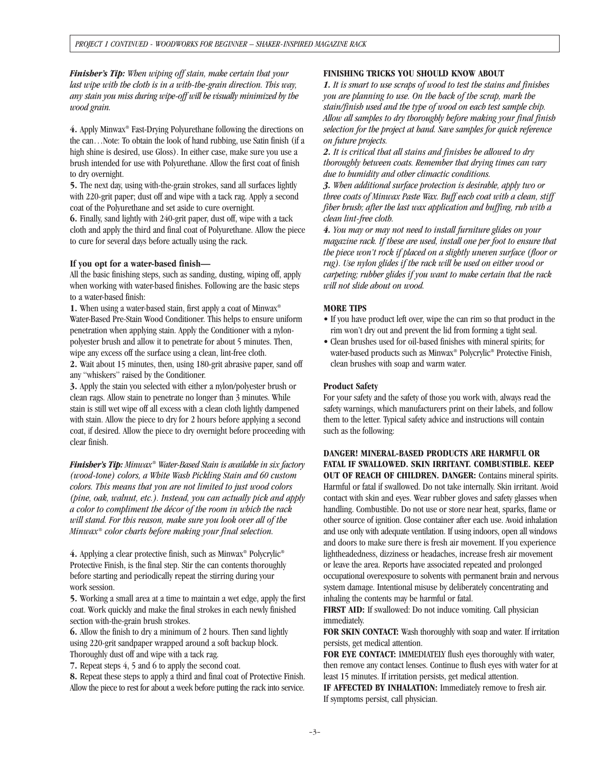*Finisher's Tip: When wiping off stain, make certain that your last wipe with the cloth is in a with-the-grain direction. This way, any stain you miss during wipe-off will be visually minimized by the wood grain.* 

**4.** Apply Minwax® Fast-Drying Polyurethane following the directions on the can…Note: To obtain the look of hand rubbing, use Satin finish (if a high shine is desired, use Gloss). In either case, make sure you use a brush intended for use with Polyurethane. Allow the first coat of finish to dry overnight.

**5.** The next day, using with-the-grain strokes, sand all surfaces lightly with 220-grit paper; dust off and wipe with a tack rag. Apply a second coat of the Polyurethane and set aside to cure overnight.

**6.** Finally, sand lightly with 240-grit paper, dust off, wipe with a tack cloth and apply the third and final coat of Polyurethane. Allow the piece to cure for several days before actually using the rack.

#### **If you opt for a water-based finish—**

All the basic finishing steps, such as sanding, dusting, wiping off, apply when working with water-based finishes. Following are the basic steps to a water-based finish:

**1.** When using a water-based stain, first apply a coat of Minwax® Water-Based Pre-Stain Wood Conditioner. This helps to ensure uniform penetration when applying stain. Apply the Conditioner with a nylonpolyester brush and allow it to penetrate for about 5 minutes. Then, wipe any excess off the surface using a clean, lint-free cloth.

**2.** Wait about 15 minutes, then, using 180-grit abrasive paper, sand off any "whiskers" raised by the Conditioner.

**3.** Apply the stain you selected with either a nylon/polyester brush or clean rags. Allow stain to penetrate no longer than 3 minutes. While stain is still wet wipe off all excess with a clean cloth lightly dampened with stain. Allow the piece to dry for 2 hours before applying a second coat, if desired. Allow the piece to dry overnight before proceeding with clear finish.

*Finisher's Tip: Minwax® Water-Based Stain is available in six factory (wood-tone) colors, a White Wash Pickling Stain and 60 custom colors. This means that you are not limited to just wood colors (pine, oak, walnut, etc.). Instead, you can actually pick and apply a color to compliment the décor of the room in which the rack will stand. For this reason, make sure you look over all of the Minwax® color charts before making your final selection.*

**4.** Applying a clear protective finish, such as Minwax® Polycrylic® Protective Finish, is the final step. Stir the can contents thoroughly before starting and periodically repeat the stirring during your work session.

**5.** Working a small area at a time to maintain a wet edge, apply the first coat. Work quickly and make the final strokes in each newly finished section with-the-grain brush strokes.

**6.** Allow the finish to dry a minimum of 2 hours. Then sand lightly using 220-grit sandpaper wrapped around a soft backup block. Thoroughly dust off and wipe with a tack rag.

**7.** Repeat steps 4, 5 and 6 to apply the second coat.

**8.** Repeat these steps to apply a third and final coat of Protective Finish. Allow the piece to rest for about a week before putting the rack into service.

#### **FINISHING TRICKS YOU SHOULD KNOW ABOUT**

*1. It is smart to use scraps of wood to test the stains and finishes you are planning to use. On the back of the scrap, mark the stain/finish used and the type of wood on each test sample chip. Allow all samples to dry thoroughly before making your final finish selection for the project at hand. Save samples for quick reference on future projects.*

*2. It is critical that all stains and finishes be allowed to dry thoroughly between coats. Remember that drying times can vary due to humidity and other climactic conditions.*

*3. When additional surface protection is desirable, apply two or three coats of Minwax Paste Wax. Buff each coat with a clean, stiff fiber brush; after the last wax application and buffing, rub with a clean lint-free cloth.*

*4. You may or may not need to install furniture glides on your magazine rack. If these are used, install one per foot to ensure that the piece won't rock if placed on a slightly uneven surface (floor or rug). Use nylon glides if the rack will be used on either wood or carpeting; rubber glides if you want to make certain that the rack will not slide about on wood.*

#### **MORE TIPS**

- If you have product left over, wipe the can rim so that product in the rim won't dry out and prevent the lid from forming a tight seal.
- Clean brushes used for oil-based finishes with mineral spirits; for water-based products such as Minwax® Polycrylic® Protective Finish, clean brushes with soap and warm water.

#### **Product Safety**

For your safety and the safety of those you work with, always read the safety warnings, which manufacturers print on their labels, and follow them to the letter. Typical safety advice and instructions will contain such as the following:

**DANGER! MINERAL-BASED PRODUCTS ARE HARMFUL OR FATAL IF SWALLOWED. SKIN IRRITANT. COMBUSTIBLE. KEEP OUT OF REACH OF CHILDREN. DANGER:** Contains mineral spirits. Harmful or fatal if swallowed. Do not take internally. Skin irritant. Avoid contact with skin and eyes. Wear rubber gloves and safety glasses when handling. Combustible. Do not use or store near heat, sparks, flame or other source of ignition. Close container after each use. Avoid inhalation and use only with adequate ventilation. If using indoors, open all windows and doors to make sure there is fresh air movement. If you experience lightheadedness, dizziness or headaches, increase fresh air movement or leave the area. Reports have associated repeated and prolonged occupational overexposure to solvents with permanent brain and nervous system damage. Intentional misuse by deliberately concentrating and inhaling the contents may be harmful or fatal.

**FIRST AID:** If swallowed: Do not induce vomiting. Call physician immediately.

**FOR SKIN CONTACT:** Wash thoroughly with soap and water. If irritation persists, get medical attention.

**FOR EYE CONTACT:** IMMEDIATELY flush eyes thoroughly with water, then remove any contact lenses. Continue to flush eyes with water for at least 15 minutes. If irritation persists, get medical attention.

**IF AFFECTED BY INHALATION:** Immediately remove to fresh air. If symptoms persist, call physician.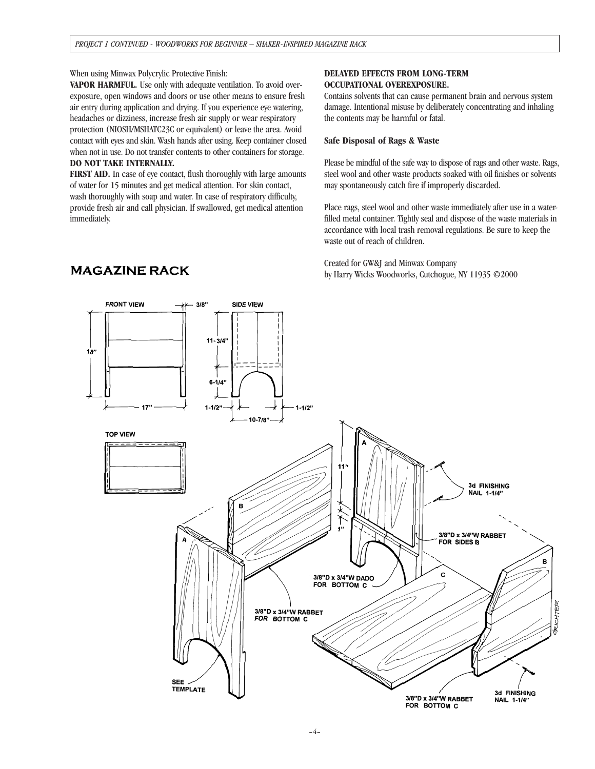#### When using Minwax Polycrylic Protective Finish:

**VAPOR HARMFUL.** Use only with adequate ventilation. To avoid overexposure, open windows and doors or use other means to ensure fresh air entry during application and drying. If you experience eye watering, headaches or dizziness, increase fresh air supply or wear respiratory protection (NIOSH/MSHATC23C or equivalent) or leave the area. Avoid contact with eyes and skin. Wash hands after using. Keep container closed when not in use. Do not transfer contents to other containers for storage. **DO NOT TAKE INTERNALLY.**

**FIRST AID.** In case of eye contact, flush thoroughly with large amounts of water for 15 minutes and get medical attention. For skin contact, wash thoroughly with soap and water. In case of respiratory difficulty, provide fresh air and call physician. If swallowed, get medical attention immediately.

#### **DELAYED EFFECTS FROM LONG-TERM OCCUPATIONAL OVEREXPOSURE.**

Contains solvents that can cause permanent brain and nervous system damage. Intentional misuse by deliberately concentrating and inhaling the contents may be harmful or fatal.

#### **Safe Disposal of Rags & Waste**

Please be mindful of the safe way to dispose of rags and other waste. Rags, steel wool and other waste products soaked with oil finishes or solvents may spontaneously catch fire if improperly discarded.

Place rags, steel wool and other waste immediately after use in a waterfilled metal container. Tightly seal and dispose of the waste materials in accordance with local trash removal regulations. Be sure to keep the waste out of reach of children.

#### Created for GW&J and Minwax Company by Harry Wicks Woodworks, Cutchogue, NY 11935 ©2000



# **MAGAZINE RACK**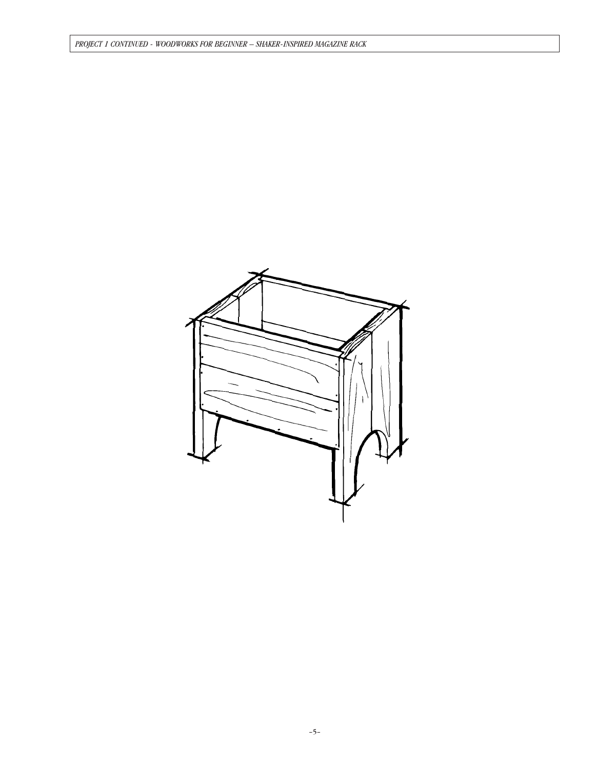